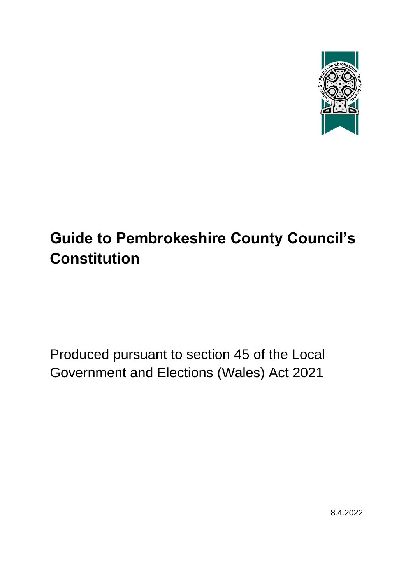

# **Guide to Pembrokeshire County Council's Constitution**

<span id="page-0-0"></span>Produced pursuant to section 45 of the Local Government and Elections (Wales) Act 2021

8.4.2022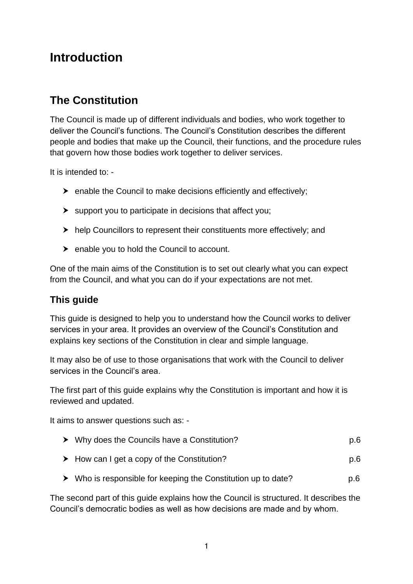# **Introduction**

# <span id="page-1-0"></span>**The Constitution**

The Council is made up of different individuals and bodies, who work together to deliver the Council's functions. The Council's Constitution describes the different people and bodies that make up the Council, their functions, and the procedure rules that govern how those bodies work together to deliver services.

It is intended to: -

- $\triangleright$  enable the Council to make decisions efficiently and effectively;
- $\blacktriangleright$  support you to participate in decisions that affect you;
- $\blacktriangleright$  help Councillors to represent their constituents more effectively; and
- $\triangleright$  enable you to hold the Council to account.

One of the main aims of the Constitution is to set out clearly what you can expect from the Council, and what you can do if your expectations are not met.

# <span id="page-1-1"></span>**This guide**

This guide is designed to help you to understand how the Council works to deliver services in your area. It provides an overview of the Council's Constitution and explains key sections of the Constitution in clear and simple language.

It may also be of use to those organisations that work with the Council to deliver services in the Council's area.

The first part of this guide explains why the Constitution is important and how it is reviewed and updated.

It aims to answer questions such as: -

|  | $\triangleright$ Why does the Councils have a Constitution? | p.6 |
|--|-------------------------------------------------------------|-----|
|--|-------------------------------------------------------------|-----|

- ▶ How can I get a copy of the Constitution? p.6
- ▶ Who is responsible for keeping the Constitution up to date? p.6

The second part of this guide explains how the Council is structured. It describes the Council's democratic bodies as well as how decisions are made and by whom.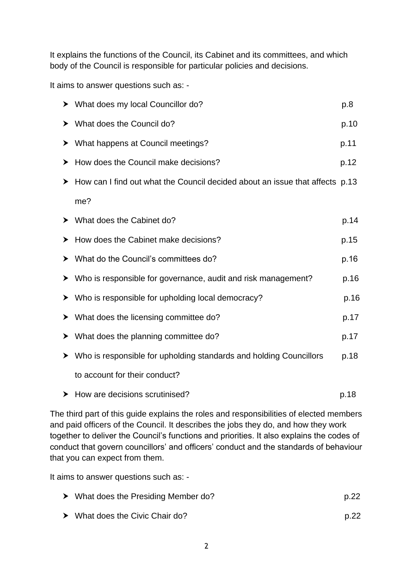It explains the functions of the Council, its Cabinet and its committees, and which body of the Council is responsible for particular policies and decisions.

It aims to answer questions such as: -

|   | > What does my local Councillor do?                                          | p.8  |
|---|------------------------------------------------------------------------------|------|
| ➤ | What does the Council do?                                                    | p.10 |
| ➤ | What happens at Council meetings?                                            | p.11 |
| ≻ | How does the Council make decisions?                                         | p.12 |
| ≻ | How can I find out what the Council decided about an issue that affects p.13 |      |
|   | me?                                                                          |      |
|   | > What does the Cabinet do?                                                  | p.14 |
| ≻ | How does the Cabinet make decisions?                                         | p.15 |
| ➤ | What do the Council's committees do?                                         | p.16 |
| ➤ | Who is responsible for governance, audit and risk management?                | p.16 |
| ➤ | Who is responsible for upholding local democracy?                            | p.16 |
| ➤ | What does the licensing committee do?                                        | p.17 |
| ≻ | What does the planning committee do?                                         | p.17 |
| ➤ | Who is responsible for upholding standards and holding Councillors           | p.18 |
|   | to account for their conduct?                                                |      |
|   | $\blacktriangleright$ How are decisions scrutinised?                         | p.18 |

The third part of this guide explains the roles and responsibilities of elected members and paid officers of the Council. It describes the jobs they do, and how they work together to deliver the Council's functions and priorities. It also explains the codes of conduct that govern councillors' and officers' conduct and the standards of behaviour that you can expect from them.

It aims to answer questions such as: -

|  | $\triangleright$ What does the Presiding Member do? | p.22 |
|--|-----------------------------------------------------|------|
|--|-----------------------------------------------------|------|

▶ What does the Civic Chair do? p.22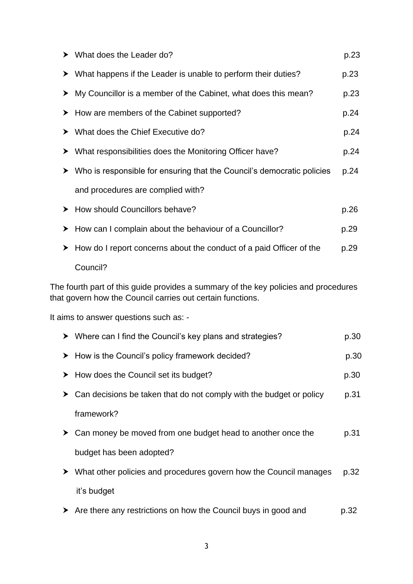|   | $\triangleright$ What does the Leader do?                                                                                                         | p.23 |
|---|---------------------------------------------------------------------------------------------------------------------------------------------------|------|
| ➤ | What happens if the Leader is unable to perform their duties?                                                                                     | p.23 |
| ➤ | My Councillor is a member of the Cabinet, what does this mean?                                                                                    | p.23 |
| ➤ | How are members of the Cabinet supported?                                                                                                         | p.24 |
| ➤ | What does the Chief Executive do?                                                                                                                 | p.24 |
| ➤ | What responsibilities does the Monitoring Officer have?                                                                                           | p.24 |
| ➤ | Who is responsible for ensuring that the Council's democratic policies                                                                            | p.24 |
|   | and procedures are complied with?                                                                                                                 |      |
|   | > How should Councillors behave?                                                                                                                  | p.26 |
| ➤ | How can I complain about the behaviour of a Councillor?                                                                                           | p.29 |
| ➤ | How do I report concerns about the conduct of a paid Officer of the                                                                               | p.29 |
|   | Council?                                                                                                                                          |      |
|   | The fourth part of this guide provides a summary of the key policies and procedures<br>that govern how the Council carries out certain functions. |      |
|   | It aims to answer questions such as: -                                                                                                            |      |
|   | ▶ Where can I find the Council's key plans and strategies?                                                                                        | p.30 |
| ➤ | How is the Council's policy framework decided?                                                                                                    | p.30 |
| ➤ | How does the Council set its budget?                                                                                                              | p.30 |
| ≻ | Can decisions be taken that do not comply with the budget or policy                                                                               | p.31 |
|   | framework?                                                                                                                                        |      |
| ≻ | Can money be moved from one budget head to another once the                                                                                       | p.31 |
|   | budget has been adopted?                                                                                                                          |      |
| ≻ | What other policies and procedures govern how the Council manages                                                                                 | p.32 |
|   | it's budget                                                                                                                                       |      |

Are there any restrictions on how the Council buys in good and p.32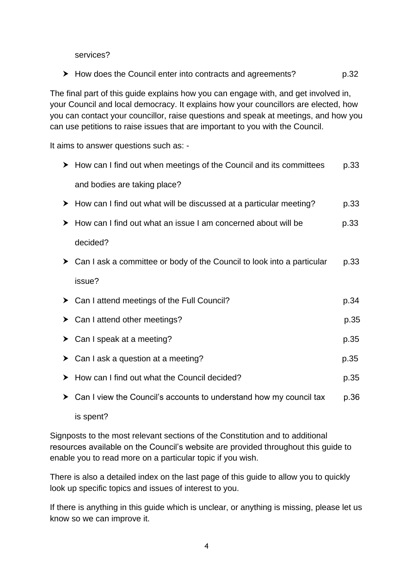services?

▶ How does the Council enter into contracts and agreements? p.32

The final part of this guide explains how you can engage with, and get involved in, your Council and local democracy. It explains how your councillors are elected, how you can contact your councillor, raise questions and speak at meetings, and how you can use petitions to raise issues that are important to you with the Council.

It aims to answer questions such as: -

|   | $\triangleright$ How can I find out when meetings of the Council and its committees     | p.33 |
|---|-----------------------------------------------------------------------------------------|------|
|   | and bodies are taking place?                                                            |      |
|   | $\triangleright$ How can I find out what will be discussed at a particular meeting?     | p.33 |
|   | > How can I find out what an issue I am concerned about will be                         | p.33 |
|   | decided?                                                                                |      |
|   | $\triangleright$ Can I ask a committee or body of the Council to look into a particular | p.33 |
|   | issue?                                                                                  |      |
|   | $\triangleright$ Can I attend meetings of the Full Council?                             | p.34 |
|   | $\triangleright$ Can I attend other meetings?                                           | p.35 |
| ≻ | Can I speak at a meeting?                                                               | p.35 |
| ➤ | Can I ask a question at a meeting?                                                      | p.35 |
|   | > How can I find out what the Council decided?                                          | p.35 |
| ➤ | Can I view the Council's accounts to understand how my council tax                      | p.36 |
|   |                                                                                         |      |

is spent?

Signposts to the most relevant sections of the Constitution and to additional resources available on the Council's website are provided throughout this guide to enable you to read more on a particular topic if you wish.

There is also a detailed index on the last page of this guide to allow you to quickly look up specific topics and issues of interest to you.

If there is anything in this guide which is unclear, or anything is missing, please let us know so we can improve it.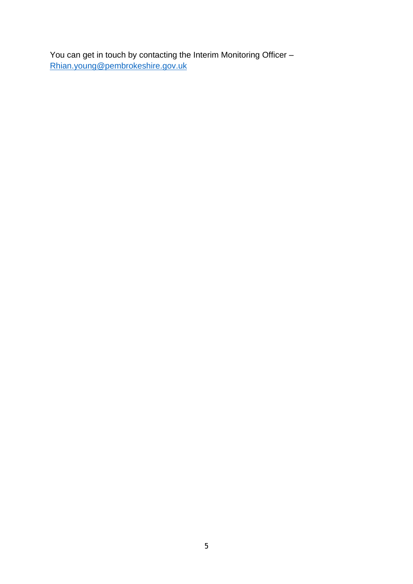You can get in touch by contacting the Interim Monitoring Officer – [Rhian.young@pembrokeshire.gov.uk](mailto:Rhian.young@pembrokeshire.gov.uk)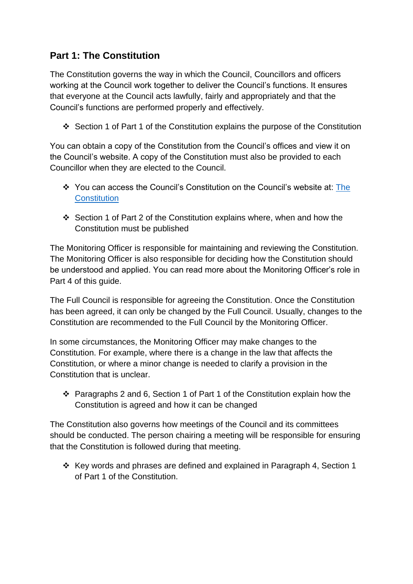# <span id="page-6-0"></span>**Part 1: The Constitution**

The Constitution governs the way in which the Council, Councillors and officers working at the Council work together to deliver the Council's functions. It ensures that everyone at the Council acts lawfully, fairly and appropriately and that the Council's functions are performed properly and effectively.

Section 1 of Part 1 of the Constitution explains the purpose of the Constitution

You can obtain a copy of the Constitution from the Council's offices and view it on the Council's website. A copy of the Constitution must also be provided to each Councillor when they are elected to the Council.

- You can access the Council's Constitution on the Council's website at: [The](https://www.pembrokeshire.gov.uk/council-information/the-Constitution) **[Constitution](https://www.pembrokeshire.gov.uk/council-information/the-Constitution)**
- Section 1 of Part 2 of the Constitution explains where, when and how the Constitution must be published

The Monitoring Officer is responsible for maintaining and reviewing the Constitution. The Monitoring Officer is also responsible for deciding how the Constitution should be understood and applied. You can read more about the Monitoring Officer's role in Part 4 of this guide.

The Full Council is responsible for agreeing the Constitution. Once the Constitution has been agreed, it can only be changed by the Full Council. Usually, changes to the Constitution are recommended to the Full Council by the Monitoring Officer.

In some circumstances, the Monitoring Officer may make changes to the Constitution. For example, where there is a change in the law that affects the Constitution, or where a minor change is needed to clarify a provision in the Constitution that is unclear.

 Paragraphs 2 and 6, Section 1 of Part 1 of the Constitution explain how the Constitution is agreed and how it can be changed

The Constitution also governs how meetings of the Council and its committees should be conducted. The person chairing a meeting will be responsible for ensuring that the Constitution is followed during that meeting.

<span id="page-6-1"></span> $\div$  Key words and phrases are defined and explained in Paragraph 4, Section 1 of Part 1 of the Constitution.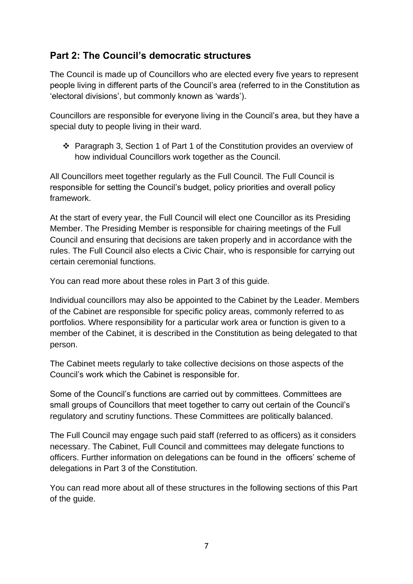# **Part 2: The Council's democratic structures**

The Council is made up of Councillors who are elected every five years to represent people living in different parts of the Council's area (referred to in the Constitution as 'electoral divisions', but commonly known as 'wards').

Councillors are responsible for everyone living in the Council's area, but they have a special duty to people living in their ward.

 Paragraph 3, Section 1 of Part 1 of the Constitution provides an overview of how individual Councillors work together as the Council.

All Councillors meet together regularly as the Full Council. The Full Council is responsible for setting the Council's budget, policy priorities and overall policy framework.

At the start of every year, the Full Council will elect one Councillor as its Presiding Member. The Presiding Member is responsible for chairing meetings of the Full Council and ensuring that decisions are taken properly and in accordance with the rules. The Full Council also elects a Civic Chair, who is responsible for carrying out certain ceremonial functions.

You can read more about these roles in Part 3 of this guide.

Individual councillors may also be appointed to the Cabinet by the Leader. Members of the Cabinet are responsible for specific policy areas, commonly referred to as portfolios. Where responsibility for a particular work area or function is given to a member of the Cabinet, it is described in the Constitution as being delegated to that person.

The Cabinet meets regularly to take collective decisions on those aspects of the Council's work which the Cabinet is responsible for.

Some of the Council's functions are carried out by committees. Committees are small groups of Councillors that meet together to carry out certain of the Council's regulatory and scrutiny functions. These Committees are politically balanced.

The Full Council may engage such paid staff (referred to as officers) as it considers necessary. The Cabinet, Full Council and committees may delegate functions to officers. Further information on delegations can be found in the officers' scheme of delegations in Part 3 of the Constitution.

You can read more about all of these structures in the following sections of this Part of the guide.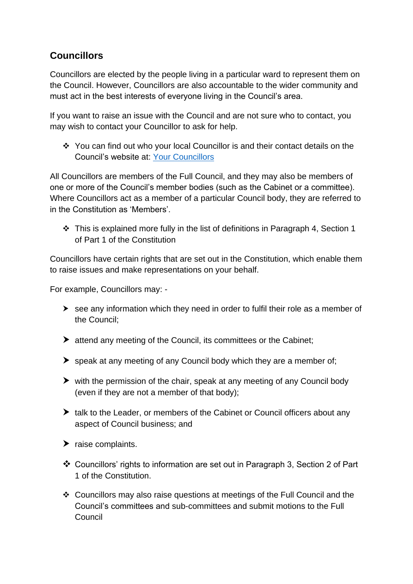# <span id="page-8-0"></span>**Councillors**

Councillors are elected by the people living in a particular ward to represent them on the Council. However, Councillors are also accountable to the wider community and must act in the best interests of everyone living in the Council's area.

If you want to raise an issue with the Council and are not sure who to contact, you may wish to contact your Councillor to ask for help.

 You can find out who your local Councillor is and their contact details on the Council's website at: [Your Councillors](https://mgenglish.pembrokeshire.gov.uk/mgmemberindex.aspx?bcr=1)

All Councillors are members of the Full Council, and they may also be members of one or more of the Council's member bodies (such as the Cabinet or a committee). Where Councillors act as a member of a particular Council body, they are referred to in the Constitution as 'Members'.

 This is explained more fully in the list of definitions in Paragraph 4, Section 1 of Part 1 of the Constitution

Councillors have certain rights that are set out in the Constitution, which enable them to raise issues and make representations on your behalf.

For example, Councillors may: -

- $\triangleright$  see any information which they need in order to fulfil their role as a member of the Council;
- attend any meeting of the Council, its committees or the Cabinet;
- $\triangleright$  speak at any meeting of any Council body which they are a member of:
- $\triangleright$  with the permission of the chair, speak at any meeting of any Council body (even if they are not a member of that body);
- $\blacktriangleright$  talk to the Leader, or members of the Cabinet or Council officers about any aspect of Council business; and
- $\blacktriangleright$  raise complaints.
- Councillors' rights to information are set out in Paragraph 3, Section 2 of Part 1 of the Constitution.
- Councillors may also raise questions at meetings of the Full Council and the Council's committees and sub-committees and submit motions to the Full Council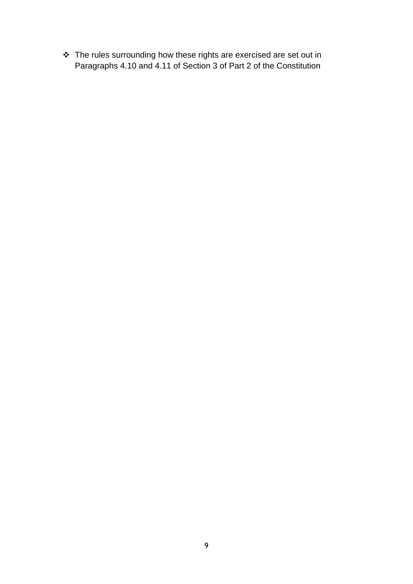\* The rules surrounding how these rights are exercised are set out in Paragraphs 4.10 and 4.11 of Section 3 of Part 2 of the Constitution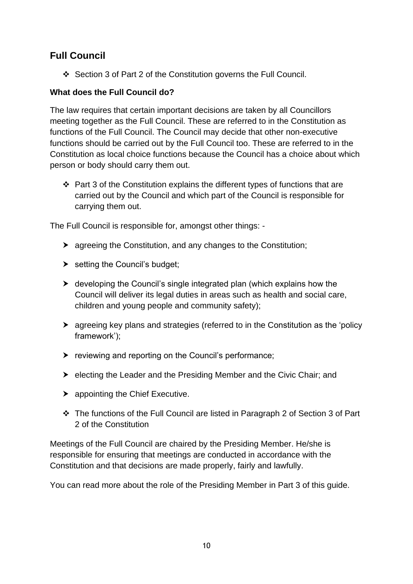# <span id="page-10-0"></span>**Full Council**

Section 3 of Part 2 of the Constitution governs the Full Council.

# **What does the Full Council do?**

The law requires that certain important decisions are taken by all Councillors meeting together as the Full Council. These are referred to in the Constitution as functions of the Full Council. The Council may decide that other non-executive functions should be carried out by the Full Council too. These are referred to in the Constitution as local choice functions because the Council has a choice about which person or body should carry them out.

 $\div$  Part 3 of the Constitution explains the different types of functions that are carried out by the Council and which part of the Council is responsible for carrying them out.

The Full Council is responsible for, amongst other things: -

- agreeing the Constitution, and any changes to the Constitution;
- $\triangleright$  setting the Council's budget;
- developing the Council's single integrated plan (which explains how the Council will deliver its legal duties in areas such as health and social care, children and young people and community safety);
- agreeing key plans and strategies (referred to in the Constitution as the 'policy framework');
- $\triangleright$  reviewing and reporting on the Council's performance;
- $\triangleright$  electing the Leader and the Presiding Member and the Civic Chair; and
- ▶ appointing the Chief Executive.
- The functions of the Full Council are listed in Paragraph 2 of Section 3 of Part 2 of the Constitution

Meetings of the Full Council are chaired by the Presiding Member. He/she is responsible for ensuring that meetings are conducted in accordance with the Constitution and that decisions are made properly, fairly and lawfully.

You can read more about the role of the Presiding Member in Part 3 of this guide.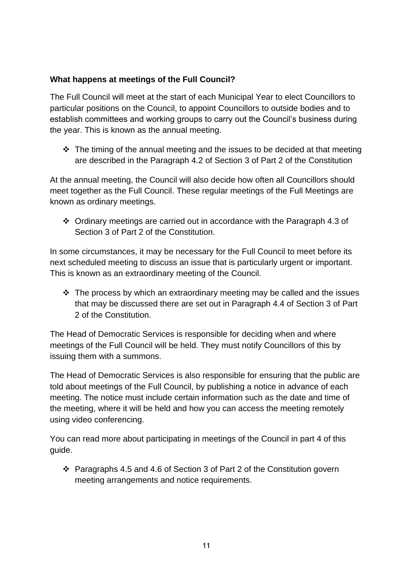# **What happens at meetings of the Full Council?**

The Full Council will meet at the start of each Municipal Year to elect Councillors to particular positions on the Council, to appoint Councillors to outside bodies and to establish committees and working groups to carry out the Council's business during the year. This is known as the annual meeting.

 $\div$  The timing of the annual meeting and the issues to be decided at that meeting are described in the Paragraph 4.2 of Section 3 of Part 2 of the Constitution

At the annual meeting, the Council will also decide how often all Councillors should meet together as the Full Council. These regular meetings of the Full Meetings are known as ordinary meetings.

 Ordinary meetings are carried out in accordance with the Paragraph 4.3 of Section 3 of Part 2 of the Constitution.

In some circumstances, it may be necessary for the Full Council to meet before its next scheduled meeting to discuss an issue that is particularly urgent or important. This is known as an extraordinary meeting of the Council.

 $\cdot$  The process by which an extraordinary meeting may be called and the issues that may be discussed there are set out in Paragraph 4.4 of Section 3 of Part 2 of the Constitution.

The Head of Democratic Services is responsible for deciding when and where meetings of the Full Council will be held. They must notify Councillors of this by issuing them with a summons.

The Head of Democratic Services is also responsible for ensuring that the public are told about meetings of the Full Council, by publishing a notice in advance of each meeting. The notice must include certain information such as the date and time of the meeting, where it will be held and how you can access the meeting remotely using video conferencing.

You can read more about participating in meetings of the Council in part 4 of this guide.

 $\cdot$  Paragraphs 4.5 and 4.6 of Section 3 of Part 2 of the Constitution govern meeting arrangements and notice requirements.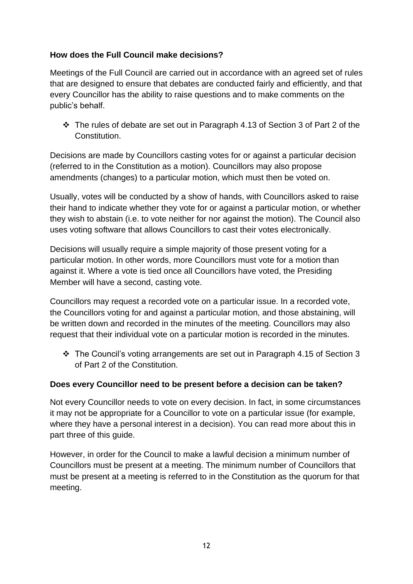# **How does the Full Council make decisions?**

Meetings of the Full Council are carried out in accordance with an agreed set of rules that are designed to ensure that debates are conducted fairly and efficiently, and that every Councillor has the ability to raise questions and to make comments on the public's behalf.

 The rules of debate are set out in Paragraph 4.13 of Section 3 of Part 2 of the Constitution.

Decisions are made by Councillors casting votes for or against a particular decision (referred to in the Constitution as a motion). Councillors may also propose amendments (changes) to a particular motion, which must then be voted on.

Usually, votes will be conducted by a show of hands, with Councillors asked to raise their hand to indicate whether they vote for or against a particular motion, or whether they wish to abstain (i.e. to vote neither for nor against the motion). The Council also uses voting software that allows Councillors to cast their votes electronically.

Decisions will usually require a simple majority of those present voting for a particular motion. In other words, more Councillors must vote for a motion than against it. Where a vote is tied once all Councillors have voted, the Presiding Member will have a second, casting vote.

Councillors may request a recorded vote on a particular issue. In a recorded vote, the Councillors voting for and against a particular motion, and those abstaining, will be written down and recorded in the minutes of the meeting. Councillors may also request that their individual vote on a particular motion is recorded in the minutes.

 $\div$  The Council's voting arrangements are set out in Paragraph 4.15 of Section 3 of Part 2 of the Constitution.

# **Does every Councillor need to be present before a decision can be taken?**

Not every Councillor needs to vote on every decision. In fact, in some circumstances it may not be appropriate for a Councillor to vote on a particular issue (for example, where they have a personal interest in a decision). You can read more about this in part three of this guide.

However, in order for the Council to make a lawful decision a minimum number of Councillors must be present at a meeting. The minimum number of Councillors that must be present at a meeting is referred to in the Constitution as the quorum for that meeting.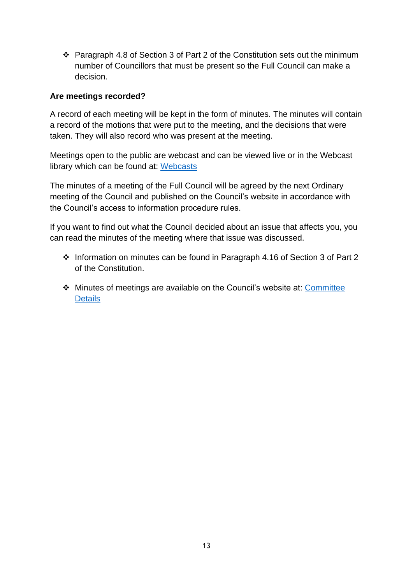$\cdot$  Paragraph 4.8 of Section 3 of Part 2 of the Constitution sets out the minimum number of Councillors that must be present so the Full Council can make a decision.

### **Are meetings recorded?**

A record of each meeting will be kept in the form of minutes. The minutes will contain a record of the motions that were put to the meeting, and the decisions that were taken. They will also record who was present at the meeting.

Meetings open to the public are webcast and can be viewed live or in the Webcast library which can be found at: [Webcasts](https://pembrokeshire.public-i.tv/core/portal/home)

The minutes of a meeting of the Full Council will be agreed by the next Ordinary meeting of the Council and published on the Council's website in accordance with the Council's access to information procedure rules.

If you want to find out what the Council decided about an issue that affects you, you can read the minutes of the meeting where that issue was discussed.

- Information on minutes can be found in Paragraph 4.16 of Section 3 of Part 2 of the Constitution.
- Minutes of meetings are available on the Council's website at: [Committee](https://mgenglish.pembrokeshire.gov.uk/mgCommitteeDetails.aspx?ID=285) **[Details](https://mgenglish.pembrokeshire.gov.uk/mgCommitteeDetails.aspx?ID=285)**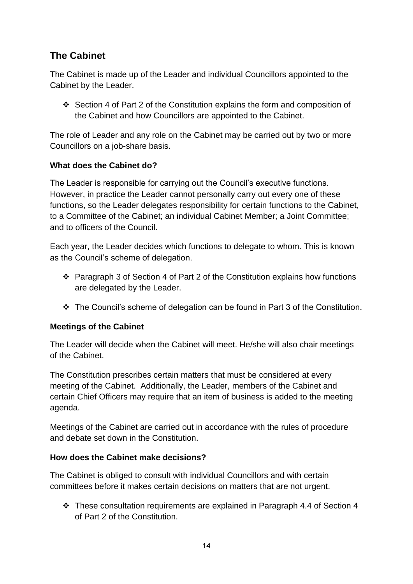# <span id="page-14-0"></span>**The Cabinet**

The Cabinet is made up of the Leader and individual Councillors appointed to the Cabinet by the Leader.

Section 4 of Part 2 of the Constitution explains the form and composition of the Cabinet and how Councillors are appointed to the Cabinet.

The role of Leader and any role on the Cabinet may be carried out by two or more Councillors on a job-share basis.

# **What does the Cabinet do?**

The Leader is responsible for carrying out the Council's executive functions. However, in practice the Leader cannot personally carry out every one of these functions, so the Leader delegates responsibility for certain functions to the Cabinet, to a Committee of the Cabinet; an individual Cabinet Member; a Joint Committee; and to officers of the Council.

Each year, the Leader decides which functions to delegate to whom. This is known as the Council's scheme of delegation.

- Paragraph 3 of Section 4 of Part 2 of the Constitution explains how functions are delegated by the Leader.
- The Council's scheme of delegation can be found in Part 3 of the Constitution.

# **Meetings of the Cabinet**

The Leader will decide when the Cabinet will meet. He/she will also chair meetings of the Cabinet.

The Constitution prescribes certain matters that must be considered at every meeting of the Cabinet. Additionally, the Leader, members of the Cabinet and certain Chief Officers may require that an item of business is added to the meeting agenda.

Meetings of the Cabinet are carried out in accordance with the rules of procedure and debate set down in the Constitution.

# **How does the Cabinet make decisions?**

The Cabinet is obliged to consult with individual Councillors and with certain committees before it makes certain decisions on matters that are not urgent.

 These consultation requirements are explained in Paragraph 4.4 of Section 4 of Part 2 of the Constitution.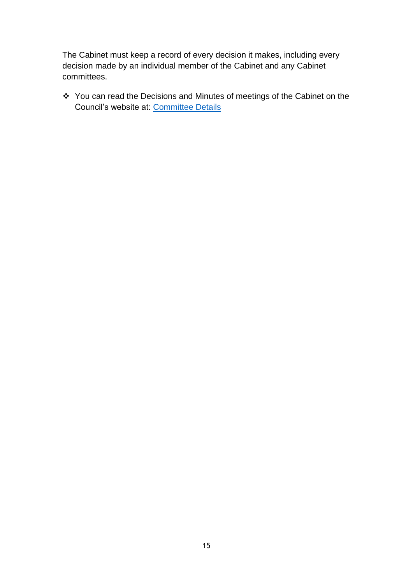The Cabinet must keep a record of every decision it makes, including every decision made by an individual member of the Cabinet and any Cabinet committees.

\* You can read the Decisions and Minutes of meetings of the Cabinet on the Council's website at: [Committee Details](https://mgenglish.pembrokeshire.gov.uk/mgCommitteeDetails.aspx?ID=281)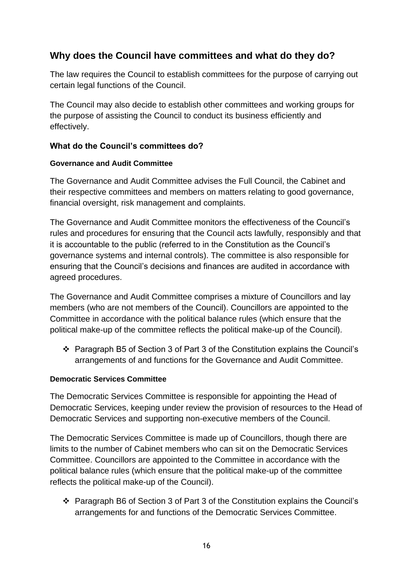# <span id="page-16-0"></span>**Why does the Council have committees and what do they do?**

The law requires the Council to establish committees for the purpose of carrying out certain legal functions of the Council.

The Council may also decide to establish other committees and working groups for the purpose of assisting the Council to conduct its business efficiently and effectively.

# <span id="page-16-1"></span>**What do the Council's committees do?**

# <span id="page-16-2"></span>**Governance and Audit Committee**

The Governance and Audit Committee advises the Full Council, the Cabinet and their respective committees and members on matters relating to good governance, financial oversight, risk management and complaints.

The Governance and Audit Committee monitors the effectiveness of the Council's rules and procedures for ensuring that the Council acts lawfully, responsibly and that it is accountable to the public (referred to in the Constitution as the Council's governance systems and internal controls). The committee is also responsible for ensuring that the Council's decisions and finances are audited in accordance with agreed procedures.

The Governance and Audit Committee comprises a mixture of Councillors and lay members (who are not members of the Council). Councillors are appointed to the Committee in accordance with the political balance rules (which ensure that the political make-up of the committee reflects the political make-up of the Council).

 Paragraph B5 of Section 3 of Part 3 of the Constitution explains the Council's arrangements of and functions for the Governance and Audit Committee.

# <span id="page-16-3"></span>**Democratic Services Committee**

The Democratic Services Committee is responsible for appointing the Head of Democratic Services, keeping under review the provision of resources to the Head of Democratic Services and supporting non-executive members of the Council.

The Democratic Services Committee is made up of Councillors, though there are limits to the number of Cabinet members who can sit on the Democratic Services Committee. Councillors are appointed to the Committee in accordance with the political balance rules (which ensure that the political make-up of the committee reflects the political make-up of the Council).

 Paragraph B6 of Section 3 of Part 3 of the Constitution explains the Council's arrangements for and functions of the Democratic Services Committee.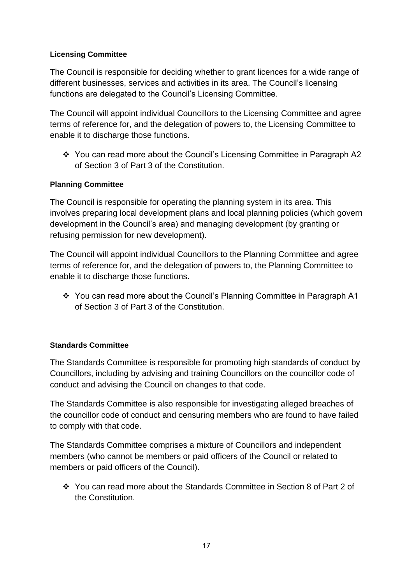#### <span id="page-17-0"></span>**Licensing Committee**

The Council is responsible for deciding whether to grant licences for a wide range of different businesses, services and activities in its area. The Council's licensing functions are delegated to the Council's Licensing Committee.

The Council will appoint individual Councillors to the Licensing Committee and agree terms of reference for, and the delegation of powers to, the Licensing Committee to enable it to discharge those functions.

❖ You can read more about the Council's Licensing Committee in Paragraph A2 of Section 3 of Part 3 of the Constitution.

# <span id="page-17-1"></span>**Planning Committee**

The Council is responsible for operating the planning system in its area. This involves preparing local development plans and local planning policies (which govern development in the Council's area) and managing development (by granting or refusing permission for new development).

The Council will appoint individual Councillors to the Planning Committee and agree terms of reference for, and the delegation of powers to, the Planning Committee to enable it to discharge those functions.

 You can read more about the Council's Planning Committee in Paragraph A1 of Section 3 of Part 3 of the Constitution.

#### <span id="page-17-2"></span>**Standards Committee**

The Standards Committee is responsible for promoting high standards of conduct by Councillors, including by advising and training Councillors on the councillor code of conduct and advising the Council on changes to that code.

The Standards Committee is also responsible for investigating alleged breaches of the councillor code of conduct and censuring members who are found to have failed to comply with that code.

The Standards Committee comprises a mixture of Councillors and independent members (who cannot be members or paid officers of the Council or related to members or paid officers of the Council).

 You can read more about the Standards Committee in Section 8 of Part 2 of the Constitution.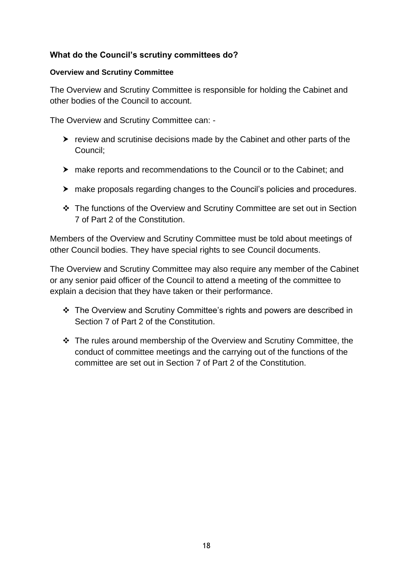# <span id="page-18-0"></span>**What do the Council's scrutiny committees do?**

#### <span id="page-18-1"></span>**Overview and Scrutiny Committee**

The Overview and Scrutiny Committee is responsible for holding the Cabinet and other bodies of the Council to account.

The Overview and Scrutiny Committee can: -

- $\triangleright$  review and scrutinise decisions made by the Cabinet and other parts of the Council;
- make reports and recommendations to the Council or to the Cabinet; and
- make proposals regarding changes to the Council's policies and procedures.
- The functions of the Overview and Scrutiny Committee are set out in Section 7 of Part 2 of the Constitution.

Members of the Overview and Scrutiny Committee must be told about meetings of other Council bodies. They have special rights to see Council documents.

The Overview and Scrutiny Committee may also require any member of the Cabinet or any senior paid officer of the Council to attend a meeting of the committee to explain a decision that they have taken or their performance.

- The Overview and Scrutiny Committee's rights and powers are described in Section 7 of Part 2 of the Constitution.
- \* The rules around membership of the Overview and Scrutiny Committee, the conduct of committee meetings and the carrying out of the functions of the committee are set out in Section 7 of Part 2 of the Constitution.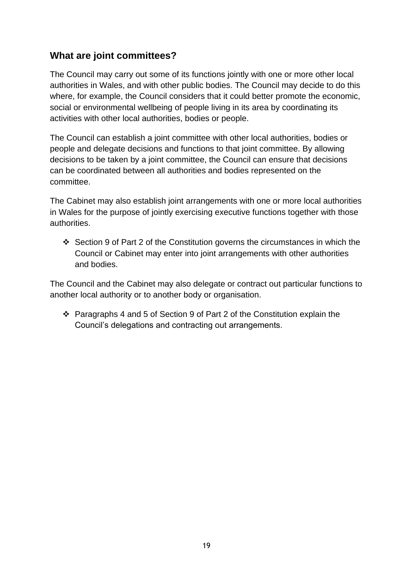# <span id="page-19-0"></span>**What are joint committees?**

The Council may carry out some of its functions jointly with one or more other local authorities in Wales, and with other public bodies. The Council may decide to do this where, for example, the Council considers that it could better promote the economic, social or environmental wellbeing of people living in its area by coordinating its activities with other local authorities, bodies or people.

The Council can establish a joint committee with other local authorities, bodies or people and delegate decisions and functions to that joint committee. By allowing decisions to be taken by a joint committee, the Council can ensure that decisions can be coordinated between all authorities and bodies represented on the committee.

The Cabinet may also establish joint arrangements with one or more local authorities in Wales for the purpose of jointly exercising executive functions together with those authorities.

 Section 9 of Part 2 of the Constitution governs the circumstances in which the Council or Cabinet may enter into joint arrangements with other authorities and bodies.

The Council and the Cabinet may also delegate or contract out particular functions to another local authority or to another body or organisation.

 $\cdot$  Paragraphs 4 and 5 of Section 9 of Part 2 of the Constitution explain the Council's delegations and contracting out arrangements.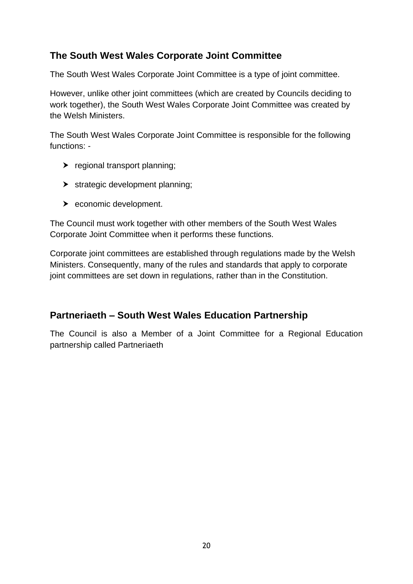# <span id="page-20-0"></span>**The South West Wales Corporate Joint Committee**

The South West Wales Corporate Joint Committee is a type of joint committee.

However, unlike other joint committees (which are created by Councils deciding to work together), the South West Wales Corporate Joint Committee was created by the Welsh Ministers.

The South West Wales Corporate Joint Committee is responsible for the following functions: -

- $\blacktriangleright$  regional transport planning;
- $\blacktriangleright$  strategic development planning;
- ▶ economic development.

The Council must work together with other members of the South West Wales Corporate Joint Committee when it performs these functions.

Corporate joint committees are established through regulations made by the Welsh Ministers. Consequently, many of the rules and standards that apply to corporate joint committees are set down in regulations, rather than in the Constitution.

# <span id="page-20-1"></span>**Partneriaeth – South West Wales Education Partnership**

The Council is also a Member of a Joint Committee for a Regional Education partnership called Partneriaeth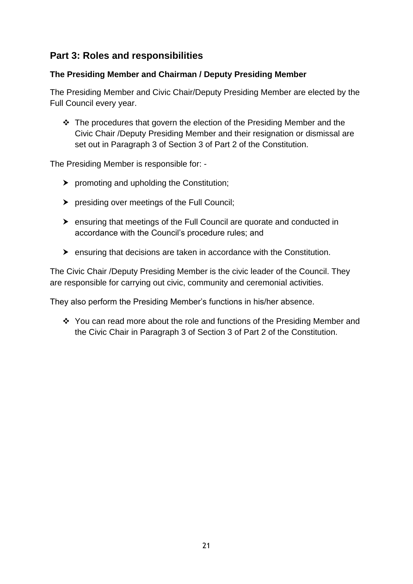# <span id="page-21-0"></span>**Part 3: Roles and responsibilities**

### <span id="page-21-1"></span>**The Presiding Member and Chairman / Deputy Presiding Member**

The Presiding Member and Civic Chair/Deputy Presiding Member are elected by the Full Council every year.

 The procedures that govern the election of the Presiding Member and the Civic Chair /Deputy Presiding Member and their resignation or dismissal are set out in Paragraph 3 of Section 3 of Part 2 of the Constitution.

The Presiding Member is responsible for: -

- $\triangleright$  promoting and upholding the Constitution;
- **>** presiding over meetings of the Full Council;
- ensuring that meetings of the Full Council are quorate and conducted in accordance with the Council's procedure rules; and
- ensuring that decisions are taken in accordance with the Constitution.

The Civic Chair /Deputy Presiding Member is the civic leader of the Council. They are responsible for carrying out civic, community and ceremonial activities.

They also perform the Presiding Member's functions in his/her absence.

 You can read more about the role and functions of the Presiding Member and the Civic Chair in Paragraph 3 of Section 3 of Part 2 of the Constitution.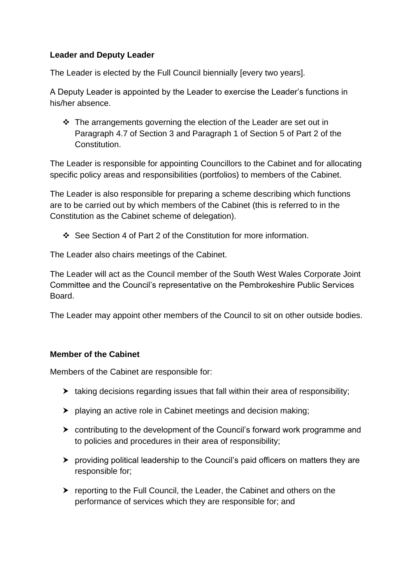# <span id="page-22-0"></span>**Leader and Deputy Leader**

The Leader is elected by the Full Council biennially [every two years].

A Deputy Leader is appointed by the Leader to exercise the Leader's functions in his/her absence.

 $\cdot \cdot$  The arrangements governing the election of the Leader are set out in Paragraph 4.7 of Section 3 and Paragraph 1 of Section 5 of Part 2 of the Constitution.

The Leader is responsible for appointing Councillors to the Cabinet and for allocating specific policy areas and responsibilities (portfolios) to members of the Cabinet.

The Leader is also responsible for preparing a scheme describing which functions are to be carried out by which members of the Cabinet (this is referred to in the Constitution as the Cabinet scheme of delegation).

See Section 4 of Part 2 of the Constitution for more information.

The Leader also chairs meetings of the Cabinet.

The Leader will act as the Council member of the South West Wales Corporate Joint Committee and the Council's representative on the Pembrokeshire Public Services Board.

The Leader may appoint other members of the Council to sit on other outside bodies.

#### <span id="page-22-1"></span>**Member of the Cabinet**

Members of the Cabinet are responsible for:

- $\blacktriangleright$  taking decisions regarding issues that fall within their area of responsibility;
- playing an active role in Cabinet meetings and decision making;
- contributing to the development of the Council's forward work programme and to policies and procedures in their area of responsibility;
- providing political leadership to the Council's paid officers on matters they are responsible for;
- ▶ reporting to the Full Council, the Leader, the Cabinet and others on the performance of services which they are responsible for; and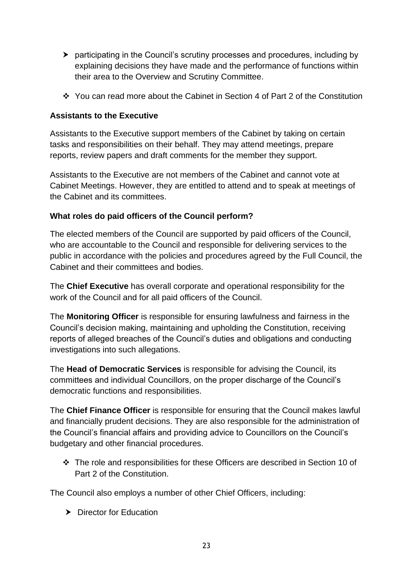- participating in the Council's scrutiny processes and procedures, including by explaining decisions they have made and the performance of functions within their area to the Overview and Scrutiny Committee.
- You can read more about the Cabinet in Section 4 of Part 2 of the Constitution

# <span id="page-23-0"></span>**Assistants to the Executive**

Assistants to the Executive support members of the Cabinet by taking on certain tasks and responsibilities on their behalf. They may attend meetings, prepare reports, review papers and draft comments for the member they support.

Assistants to the Executive are not members of the Cabinet and cannot vote at Cabinet Meetings. However, they are entitled to attend and to speak at meetings of the Cabinet and its committees.

# <span id="page-23-1"></span>**What roles do paid officers of the Council perform?**

The elected members of the Council are supported by paid officers of the Council, who are accountable to the Council and responsible for delivering services to the public in accordance with the policies and procedures agreed by the Full Council, the Cabinet and their committees and bodies.

The **Chief Executive** has overall corporate and operational responsibility for the work of the Council and for all paid officers of the Council.

The **Monitoring Officer** is responsible for ensuring lawfulness and fairness in the Council's decision making, maintaining and upholding the Constitution, receiving reports of alleged breaches of the Council's duties and obligations and conducting investigations into such allegations.

The **Head of Democratic Services** is responsible for advising the Council, its committees and individual Councillors, on the proper discharge of the Council's democratic functions and responsibilities.

The **Chief Finance Officer** is responsible for ensuring that the Council makes lawful and financially prudent decisions. They are also responsible for the administration of the Council's financial affairs and providing advice to Councillors on the Council's budgetary and other financial procedures.

 The role and responsibilities for these Officers are described in Section 10 of Part 2 of the Constitution.

The Council also employs a number of other Chief Officers, including:

 $\blacktriangleright$  Director for Education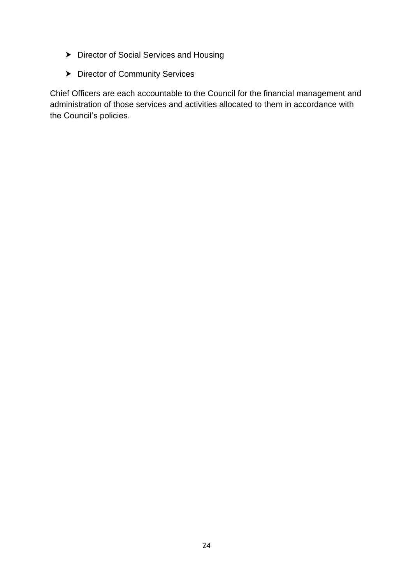- > Director of Social Services and Housing
- > Director of Community Services

Chief Officers are each accountable to the Council for the financial management and administration of those services and activities allocated to them in accordance with the Council's policies.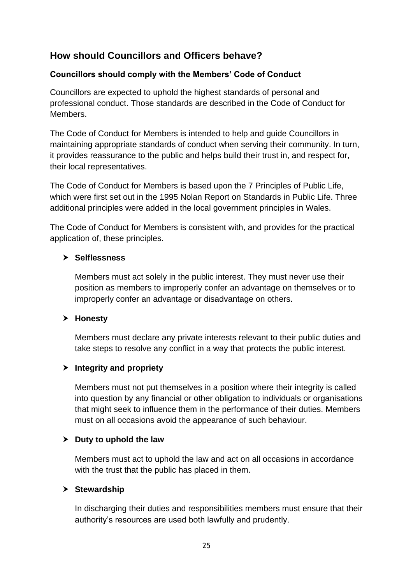# <span id="page-25-0"></span>**How should Councillors and Officers behave?**

### <span id="page-25-1"></span>**Councillors should comply with the Members' Code of Conduct**

Councillors are expected to uphold the highest standards of personal and professional conduct. Those standards are described in the Code of Conduct for Members.

The Code of Conduct for Members is intended to help and guide Councillors in maintaining appropriate standards of conduct when serving their community. In turn, it provides reassurance to the public and helps build their trust in, and respect for, their local representatives.

The Code of Conduct for Members is based upon the 7 Principles of Public Life, which were first set out in the 1995 Nolan Report on Standards in Public Life. Three additional principles were added in the local government principles in Wales.

The Code of Conduct for Members is consistent with, and provides for the practical application of, these principles.

# **Selflessness**

Members must act solely in the public interest. They must never use their position as members to improperly confer an advantage on themselves or to improperly confer an advantage or disadvantage on others.

#### **Honesty**

Members must declare any private interests relevant to their public duties and take steps to resolve any conflict in a way that protects the public interest.

# **Integrity and propriety**

Members must not put themselves in a position where their integrity is called into question by any financial or other obligation to individuals or organisations that might seek to influence them in the performance of their duties. Members must on all occasions avoid the appearance of such behaviour.

#### **Duty to uphold the law**

Members must act to uphold the law and act on all occasions in accordance with the trust that the public has placed in them.

#### **Stewardship**

In discharging their duties and responsibilities members must ensure that their authority's resources are used both lawfully and prudently.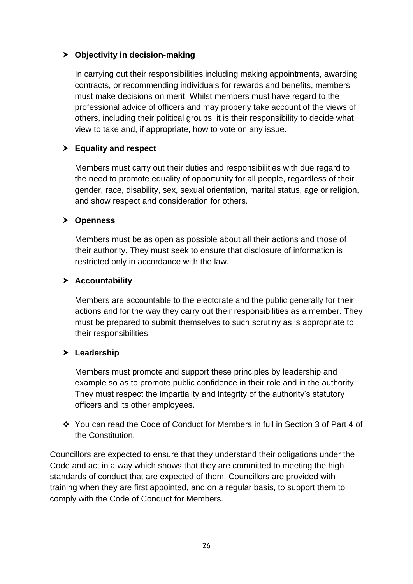# **Objectivity in decision-making**

In carrying out their responsibilities including making appointments, awarding contracts, or recommending individuals for rewards and benefits, members must make decisions on merit. Whilst members must have regard to the professional advice of officers and may properly take account of the views of others, including their political groups, it is their responsibility to decide what view to take and, if appropriate, how to vote on any issue.

# **Equality and respect**

Members must carry out their duties and responsibilities with due regard to the need to promote equality of opportunity for all people, regardless of their gender, race, disability, sex, sexual orientation, marital status, age or religion, and show respect and consideration for others.

#### **Openness**

Members must be as open as possible about all their actions and those of their authority. They must seek to ensure that disclosure of information is restricted only in accordance with the law.

#### **Accountability**

Members are accountable to the electorate and the public generally for their actions and for the way they carry out their responsibilities as a member. They must be prepared to submit themselves to such scrutiny as is appropriate to their responsibilities.

# **Leadership**

Members must promote and support these principles by leadership and example so as to promote public confidence in their role and in the authority. They must respect the impartiality and integrity of the authority's statutory officers and its other employees.

 You can read the Code of Conduct for Members in full in Section 3 of Part 4 of the Constitution.

Councillors are expected to ensure that they understand their obligations under the Code and act in a way which shows that they are committed to meeting the high standards of conduct that are expected of them. Councillors are provided with training when they are first appointed, and on a regular basis, to support them to comply with the Code of Conduct for Members.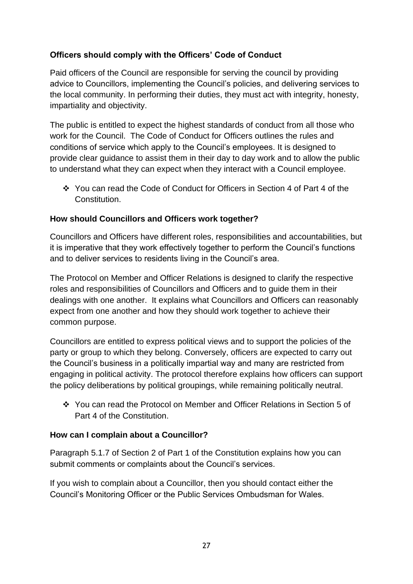# <span id="page-27-0"></span>**Officers should comply with the Officers' Code of Conduct**

Paid officers of the Council are responsible for serving the council by providing advice to Councillors, implementing the Council's policies, and delivering services to the local community. In performing their duties, they must act with integrity, honesty, impartiality and objectivity.

The public is entitled to expect the highest standards of conduct from all those who work for the Council. The Code of Conduct for Officers outlines the rules and conditions of service which apply to the Council's employees. It is designed to provide clear guidance to assist them in their day to day work and to allow the public to understand what they can expect when they interact with a Council employee.

 You can read the Code of Conduct for Officers in Section 4 of Part 4 of the Constitution.

# <span id="page-27-1"></span>**How should Councillors and Officers work together?**

Councillors and Officers have different roles, responsibilities and accountabilities, but it is imperative that they work effectively together to perform the Council's functions and to deliver services to residents living in the Council's area.

The Protocol on Member and Officer Relations is designed to clarify the respective roles and responsibilities of Councillors and Officers and to guide them in their dealings with one another. It explains what Councillors and Officers can reasonably expect from one another and how they should work together to achieve their common purpose.

Councillors are entitled to express political views and to support the policies of the party or group to which they belong. Conversely, officers are expected to carry out the Council's business in a politically impartial way and many are restricted from engaging in political activity. The protocol therefore explains how officers can support the policy deliberations by political groupings, while remaining politically neutral.

\* You can read the Protocol on Member and Officer Relations in Section 5 of Part 4 of the Constitution.

# <span id="page-27-2"></span>**How can I complain about a Councillor?**

Paragraph 5.1.7 of Section 2 of Part 1 of the Constitution explains how you can submit comments or complaints about the Council's services.

If you wish to complain about a Councillor, then you should contact either the Council's Monitoring Officer or the Public Services Ombudsman for Wales.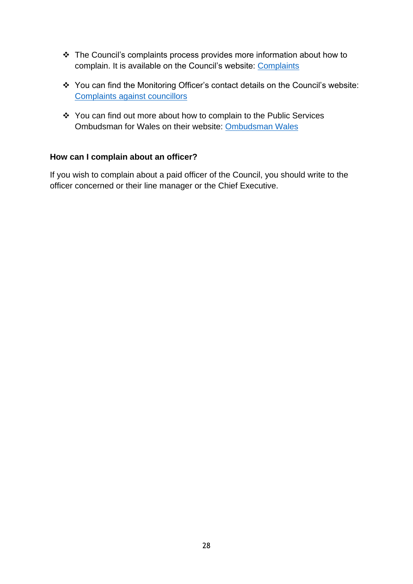- The Council's complaints process provides more information about how to complain. It is available on the Council's website: [Complaints](https://www.pembrokeshire.gov.uk/complaints)
- You can find the Monitoring Officer's contact details on the Council's website: [Complaints against councillors](https://www.pembrokeshire.gov.uk/complaints/complaints-against-councillors)
- ❖ You can find out more about how to complain to the Public Services Ombudsman for Wales on their website: [Ombudsman Wales](https://www.ombudsman.wales/how-to-complain/)

# <span id="page-28-0"></span>**How can I complain about an officer?**

If you wish to complain about a paid officer of the Council, you should write to the officer concerned or their line manager or the Chief Executive.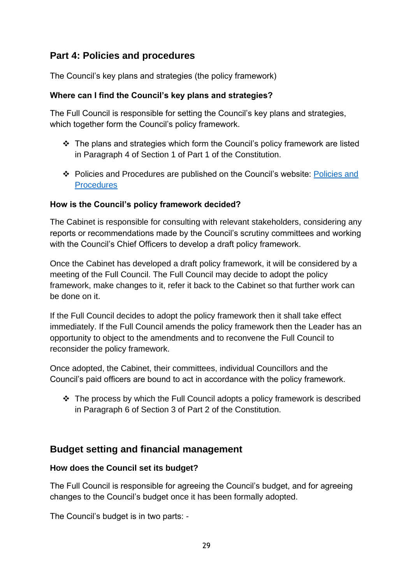# <span id="page-29-0"></span>**Part 4: Policies and procedures**

<span id="page-29-1"></span>The Council's key plans and strategies (the policy framework)

# <span id="page-29-2"></span>**Where can I find the Council's key plans and strategies?**

The Full Council is responsible for setting the Council's key plans and strategies, which together form the Council's policy framework.

- $\div$  The plans and strategies which form the Council's policy framework are listed in Paragraph 4 of Section 1 of Part 1 of the Constitution.
- Policies and Procedures are published on the Council's website: [Policies and](https://www.pembrokeshire.gov.uk/policies-and-procedures) **[Procedures](https://www.pembrokeshire.gov.uk/policies-and-procedures)**

# <span id="page-29-3"></span>**How is the Council's policy framework decided?**

The Cabinet is responsible for consulting with relevant stakeholders, considering any reports or recommendations made by the Council's scrutiny committees and working with the Council's Chief Officers to develop a draft policy framework.

Once the Cabinet has developed a draft policy framework, it will be considered by a meeting of the Full Council. The Full Council may decide to adopt the policy framework, make changes to it, refer it back to the Cabinet so that further work can be done on it.

If the Full Council decides to adopt the policy framework then it shall take effect immediately. If the Full Council amends the policy framework then the Leader has an opportunity to object to the amendments and to reconvene the Full Council to reconsider the policy framework.

Once adopted, the Cabinet, their committees, individual Councillors and the Council's paid officers are bound to act in accordance with the policy framework.

 $\div$  The process by which the Full Council adopts a policy framework is described in Paragraph 6 of Section 3 of Part 2 of the Constitution.

# <span id="page-29-4"></span>**Budget setting and financial management**

# <span id="page-29-5"></span>**How does the Council set its budget?**

The Full Council is responsible for agreeing the Council's budget, and for agreeing changes to the Council's budget once it has been formally adopted.

The Council's budget is in two parts: -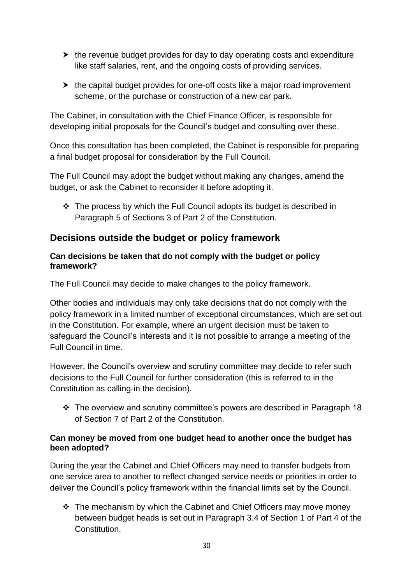- $\triangleright$  the revenue budget provides for day to day operating costs and expenditure like staff salaries, rent, and the ongoing costs of providing services.
- $\blacktriangleright$  the capital budget provides for one-off costs like a major road improvement scheme, or the purchase or construction of a new car park.

The Cabinet, in consultation with the Chief Finance Officer, is responsible for developing initial proposals for the Council's budget and consulting over these.

Once this consultation has been completed, the Cabinet is responsible for preparing a final budget proposal for consideration by the Full Council.

The Full Council may adopt the budget without making any changes, amend the budget, or ask the Cabinet to reconsider it before adopting it.

 $\cdot$  The process by which the Full Council adopts its budget is described in Paragraph 5 of Sections 3 of Part 2 of the Constitution.

# <span id="page-30-0"></span>**Decisions outside the budget or policy framework**

### <span id="page-30-1"></span>**Can decisions be taken that do not comply with the budget or policy framework?**

The Full Council may decide to make changes to the policy framework.

Other bodies and individuals may only take decisions that do not comply with the policy framework in a limited number of exceptional circumstances, which are set out in the Constitution. For example, where an urgent decision must be taken to safeguard the Council's interests and it is not possible to arrange a meeting of the Full Council in time.

However, the Council's overview and scrutiny committee may decide to refer such decisions to the Full Council for further consideration (this is referred to in the Constitution as calling-in the decision).

 The overview and scrutiny committee's powers are described in Paragraph 18 of Section 7 of Part 2 of the Constitution.

# <span id="page-30-2"></span>**Can money be moved from one budget head to another once the budget has been adopted?**

During the year the Cabinet and Chief Officers may need to transfer budgets from one service area to another to reflect changed service needs or priorities in order to deliver the Council's policy framework within the financial limits set by the Council.

 $\div$  The mechanism by which the Cabinet and Chief Officers may move money between budget heads is set out in Paragraph 3.4 of Section 1 of Part 4 of the Constitution.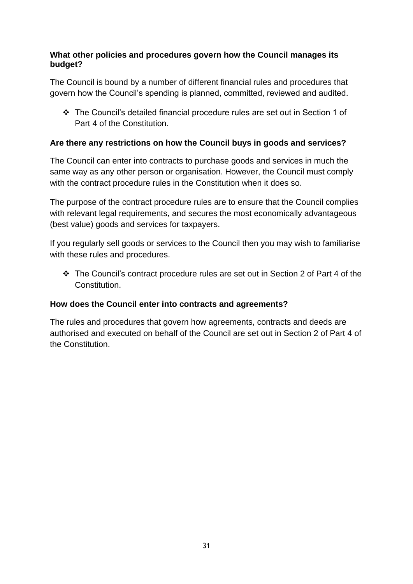# <span id="page-31-0"></span>**What other policies and procedures govern how the Council manages its budget?**

The Council is bound by a number of different financial rules and procedures that govern how the Council's spending is planned, committed, reviewed and audited.

 The Council's detailed financial procedure rules are set out in Section 1 of Part 4 of the Constitution.

# <span id="page-31-1"></span>**Are there any restrictions on how the Council buys in goods and services?**

The Council can enter into contracts to purchase goods and services in much the same way as any other person or organisation. However, the Council must comply with the contract procedure rules in the Constitution when it does so.

The purpose of the contract procedure rules are to ensure that the Council complies with relevant legal requirements, and secures the most economically advantageous (best value) goods and services for taxpayers.

If you regularly sell goods or services to the Council then you may wish to familiarise with these rules and procedures.

 The Council's contract procedure rules are set out in Section 2 of Part 4 of the **Constitution** 

# <span id="page-31-2"></span>**How does the Council enter into contracts and agreements?**

The rules and procedures that govern how agreements, contracts and deeds are authorised and executed on behalf of the Council are set out in Section 2 of Part 4 of the Constitution.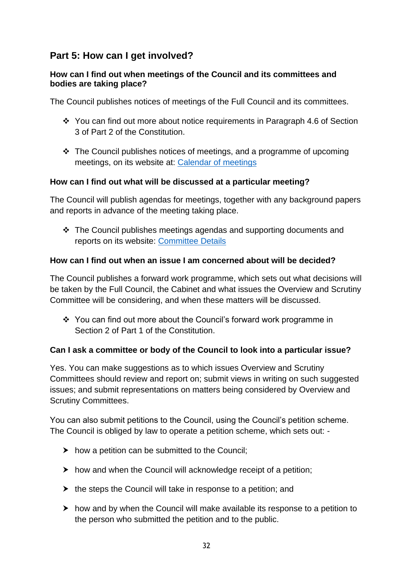# <span id="page-32-0"></span>**Part 5: How can I get involved?**

### <span id="page-32-1"></span>**How can I find out when meetings of the Council and its committees and bodies are taking place?**

The Council publishes notices of meetings of the Full Council and its committees.

- You can find out more about notice requirements in Paragraph 4.6 of Section 3 of Part 2 of the Constitution.
- $\cdot$  The Council publishes notices of meetings, and a programme of upcoming meetings, on its website at: [Calendar of meetings](https://mgenglish.pembrokeshire.gov.uk/mgCalendarMonthView.aspx?GL=1&bcr=1&LLL=0)

# <span id="page-32-2"></span>**How can I find out what will be discussed at a particular meeting?**

The Council will publish agendas for meetings, together with any background papers and reports in advance of the meeting taking place.

 The Council publishes meetings agendas and supporting documents and reports on its website: [Committee Details](https://mgenglish.pembrokeshire.gov.uk/mglistcommittees.aspx?bcr=1)

# <span id="page-32-3"></span>**How can I find out when an issue I am concerned about will be decided?**

The Council publishes a forward work programme, which sets out what decisions will be taken by the Full Council, the Cabinet and what issues the Overview and Scrutiny Committee will be considering, and when these matters will be discussed.

 $\div$  You can find out more about the Council's forward work programme in Section 2 of Part 1 of the Constitution.

# <span id="page-32-4"></span>**Can I ask a committee or body of the Council to look into a particular issue?**

Yes. You can make suggestions as to which issues Overview and Scrutiny Committees should review and report on; submit views in writing on such suggested issues; and submit representations on matters being considered by Overview and Scrutiny Committees.

You can also submit petitions to the Council, using the Council's petition scheme. The Council is obliged by law to operate a petition scheme, which sets out: -

- $\triangleright$  how a petition can be submitted to the Council;
- $\triangleright$  how and when the Council will acknowledge receipt of a petition;
- $\triangleright$  the steps the Council will take in response to a petition; and
- $\triangleright$  how and by when the Council will make available its response to a petition to the person who submitted the petition and to the public.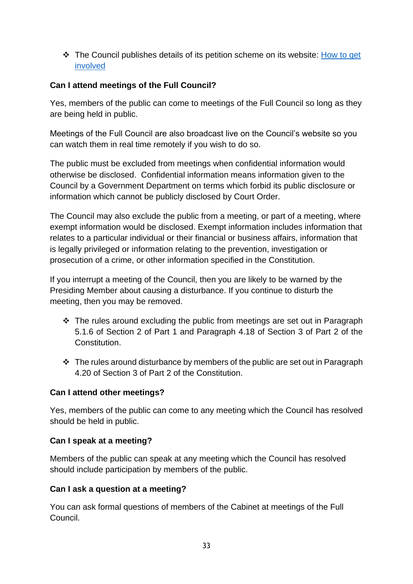The Council publishes details of its petition scheme on its website: [How to get](https://www.pembrokeshire.gov.uk/how-to-get-involved) [involved](https://www.pembrokeshire.gov.uk/how-to-get-involved)

# <span id="page-33-0"></span>**Can I attend meetings of the Full Council?**

Yes, members of the public can come to meetings of the Full Council so long as they are being held in public.

Meetings of the Full Council are also broadcast live on the Council's website so you can watch them in real time remotely if you wish to do so.

The public must be excluded from meetings when confidential information would otherwise be disclosed. Confidential information means information given to the Council by a Government Department on terms which forbid its public disclosure or information which cannot be publicly disclosed by Court Order.

The Council may also exclude the public from a meeting, or part of a meeting, where exempt information would be disclosed. Exempt information includes information that relates to a particular individual or their financial or business affairs, information that is legally privileged or information relating to the prevention, investigation or prosecution of a crime, or other information specified in the Constitution.

If you interrupt a meeting of the Council, then you are likely to be warned by the Presiding Member about causing a disturbance. If you continue to disturb the meeting, then you may be removed.

- $\cdot$  The rules around excluding the public from meetings are set out in Paragraph 5.1.6 of Section 2 of Part 1 and Paragraph 4.18 of Section 3 of Part 2 of the Constitution.
- $\div$  The rules around disturbance by members of the public are set out in Paragraph 4.20 of Section 3 of Part 2 of the Constitution.

# <span id="page-33-1"></span>**Can I attend other meetings?**

Yes, members of the public can come to any meeting which the Council has resolved should be held in public.

# <span id="page-33-2"></span>**Can I speak at a meeting?**

<span id="page-33-3"></span>Members of the public can speak at any meeting which the Council has resolved should include participation by members of the public.

# **Can I ask a question at a meeting?**

You can ask formal questions of members of the Cabinet at meetings of the Full Council.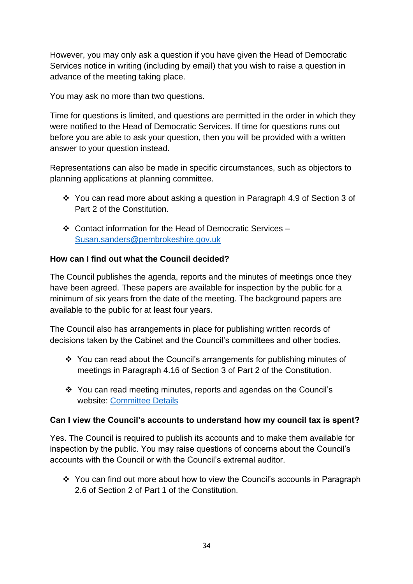However, you may only ask a question if you have given the Head of Democratic Services notice in writing (including by email) that you wish to raise a question in advance of the meeting taking place.

You may ask no more than two questions.

Time for questions is limited, and questions are permitted in the order in which they were notified to the Head of Democratic Services. If time for questions runs out before you are able to ask your question, then you will be provided with a written answer to your question instead.

Representations can also be made in specific circumstances, such as objectors to planning applications at planning committee.

- You can read more about asking a question in Paragraph 4.9 of Section 3 of Part 2 of the Constitution.
- Contact information for the Head of Democratic Services [Susan.sanders@pembrokeshire.gov.uk](mailto:Susan.sanders@pembrokeshire.gov.uk)

# <span id="page-34-0"></span>**How can I find out what the Council decided?**

The Council publishes the agenda, reports and the minutes of meetings once they have been agreed. These papers are available for inspection by the public for a minimum of six years from the date of the meeting. The background papers are available to the public for at least four years.

The Council also has arrangements in place for publishing written records of decisions taken by the Cabinet and the Council's committees and other bodies.

- ❖ You can read about the Council's arrangements for publishing minutes of meetings in Paragraph 4.16 of Section 3 of Part 2 of the Constitution.
- You can read meeting minutes, reports and agendas on the Council's website: [Committee Details](https://mgenglish.pembrokeshire.gov.uk/mglistcommittees.aspx?bcr=1)

# <span id="page-34-1"></span>**Can I view the Council's accounts to understand how my council tax is spent?**

Yes. The Council is required to publish its accounts and to make them available for inspection by the public. You may raise questions of concerns about the Council's accounts with the Council or with the Council's extremal auditor.

 You can find out more about how to view the Council's accounts in Paragraph 2.6 of Section 2 of Part 1 of the Constitution.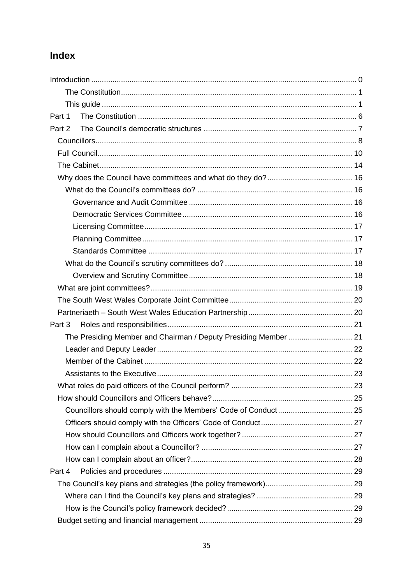# <span id="page-35-0"></span>Index

| Part 1                                                          |  |
|-----------------------------------------------------------------|--|
| Part 2                                                          |  |
|                                                                 |  |
|                                                                 |  |
|                                                                 |  |
|                                                                 |  |
|                                                                 |  |
|                                                                 |  |
|                                                                 |  |
|                                                                 |  |
|                                                                 |  |
|                                                                 |  |
|                                                                 |  |
|                                                                 |  |
|                                                                 |  |
|                                                                 |  |
|                                                                 |  |
| Part 3                                                          |  |
| The Presiding Member and Chairman / Deputy Presiding Member  21 |  |
|                                                                 |  |
|                                                                 |  |
|                                                                 |  |
|                                                                 |  |
|                                                                 |  |
|                                                                 |  |
|                                                                 |  |
|                                                                 |  |
|                                                                 |  |
|                                                                 |  |
| Part 4                                                          |  |
|                                                                 |  |
|                                                                 |  |
|                                                                 |  |
|                                                                 |  |